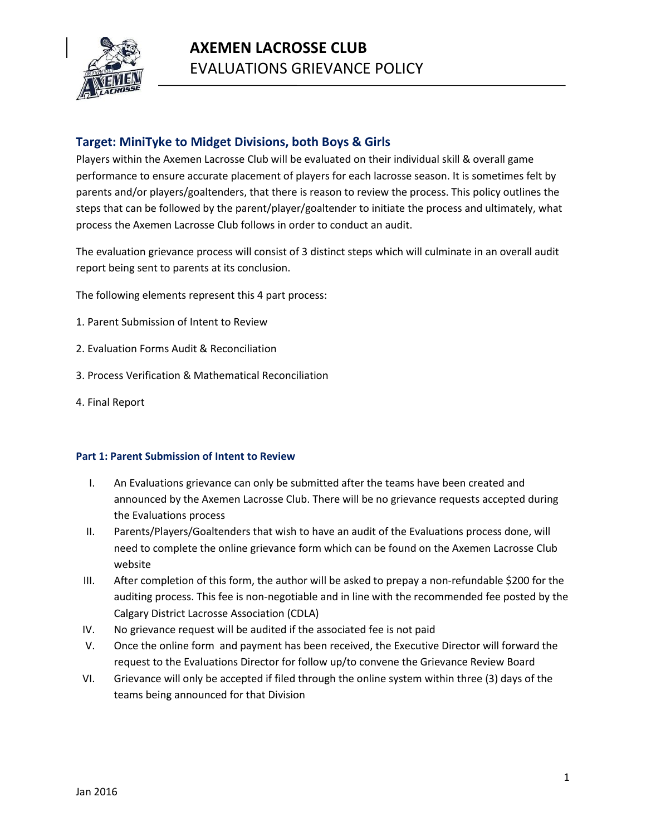

# **Target: MiniTyke to Midget Divisions, both Boys & Girls**

Players within the Axemen Lacrosse Club will be evaluated on their individual skill & overall game performance to ensure accurate placement of players for each lacrosse season. It is sometimes felt by parents and/or players/goaltenders, that there is reason to review the process. This policy outlines the steps that can be followed by the parent/player/goaltender to initiate the process and ultimately, what process the Axemen Lacrosse Club follows in order to conduct an audit.

The evaluation grievance process will consist of 3 distinct steps which will culminate in an overall audit report being sent to parents at its conclusion.

The following elements represent this 4 part process:

- 1. Parent Submission of Intent to Review
- 2. Evaluation Forms Audit & Reconciliation
- 3. Process Verification & Mathematical Reconciliation
- 4. Final Report

# **Part 1: Parent Submission of Intent to Review**

- I. An Evaluations grievance can only be submitted after the teams have been created and announced by the Axemen Lacrosse Club. There will be no grievance requests accepted during the Evaluations process
- II. Parents/Players/Goaltenders that wish to have an audit of the Evaluations process done, will need to complete the online grievance form which can be found on the Axemen Lacrosse Club website
- III. After completion of this form, the author will be asked to prepay a non-refundable \$200 for the auditing process. This fee is non-negotiable and in line with the recommended fee posted by the Calgary District Lacrosse Association (CDLA)
- IV. No grievance request will be audited if the associated fee is not paid
- V. Once the online form and payment has been received, the Executive Director will forward the request to the Evaluations Director for follow up/to convene the Grievance Review Board
- VI. Grievance will only be accepted if filed through the online system within three (3) days of the teams being announced for that Division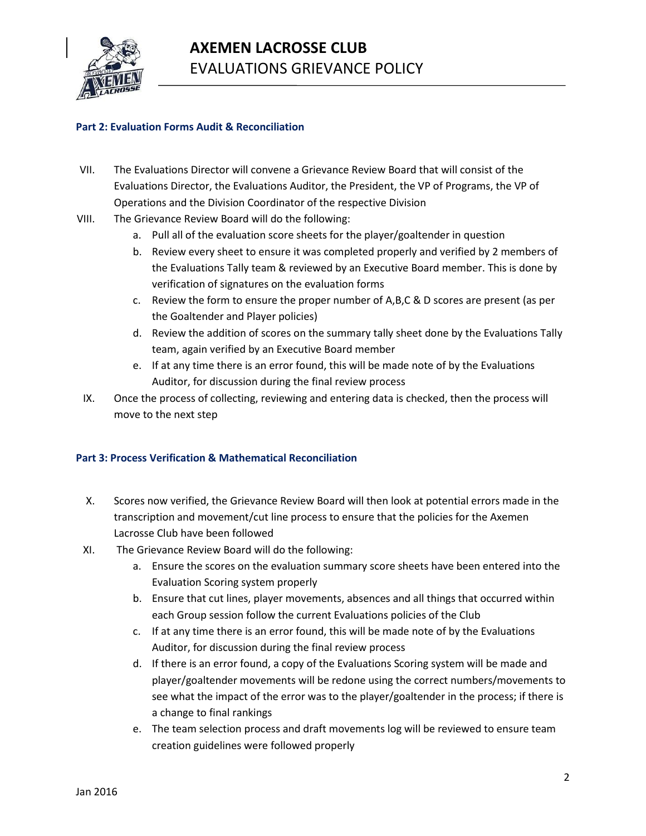

# **Part 2: Evaluation Forms Audit & Reconciliation**

- VII. The Evaluations Director will convene a Grievance Review Board that will consist of the Evaluations Director, the Evaluations Auditor, the President, the VP of Programs, the VP of Operations and the Division Coordinator of the respective Division
- VIII. The Grievance Review Board will do the following:
	- a. Pull all of the evaluation score sheets for the player/goaltender in question
	- b. Review every sheet to ensure it was completed properly and verified by 2 members of the Evaluations Tally team & reviewed by an Executive Board member. This is done by verification of signatures on the evaluation forms
	- c. Review the form to ensure the proper number of A,B,C & D scores are present (as per the Goaltender and Player policies)
	- d. Review the addition of scores on the summary tally sheet done by the Evaluations Tally team, again verified by an Executive Board member
	- e. If at any time there is an error found, this will be made note of by the Evaluations Auditor, for discussion during the final review process
- IX. Once the process of collecting, reviewing and entering data is checked, then the process will move to the next step

# **Part 3: Process Verification & Mathematical Reconciliation**

- X. Scores now verified, the Grievance Review Board will then look at potential errors made in the transcription and movement/cut line process to ensure that the policies for the Axemen Lacrosse Club have been followed
- XI. The Grievance Review Board will do the following:
	- a. Ensure the scores on the evaluation summary score sheets have been entered into the Evaluation Scoring system properly
	- b. Ensure that cut lines, player movements, absences and all things that occurred within each Group session follow the current Evaluations policies of the Club
	- c. If at any time there is an error found, this will be made note of by the Evaluations Auditor, for discussion during the final review process
	- d. If there is an error found, a copy of the Evaluations Scoring system will be made and player/goaltender movements will be redone using the correct numbers/movements to see what the impact of the error was to the player/goaltender in the process; if there is a change to final rankings
	- e. The team selection process and draft movements log will be reviewed to ensure team creation guidelines were followed properly